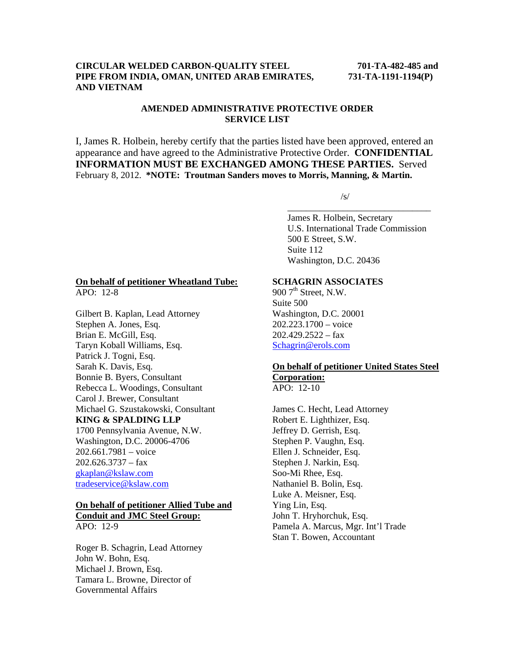#### **CIRCULAR WELDED CARBON-QUALITY STEEL 701-TA-482-485 and PIPE FROM INDIA, OMAN, UNITED ARAB EMIRATES, 731-TA-1191-1194(P) AND VIETNAM**

## **AMENDED ADMINISTRATIVE PROTECTIVE ORDER SERVICE LIST**

I, James R. Holbein, hereby certify that the parties listed have been approved, entered an appearance and have agreed to the Administrative Protective Order. **CONFIDENTIAL INFORMATION MUST BE EXCHANGED AMONG THESE PARTIES.** Served February 8, 2012. **\*NOTE: Troutman Sanders moves to Morris, Manning, & Martin.** 

 $\overline{\phantom{a}}$  , and the contract of the contract of the contract of the contract of the contract of the contract of the contract of the contract of the contract of the contract of the contract of the contract of the contrac

 $\sqrt{s}$ /s/

 James R. Holbein, Secretary U.S. International Trade Commission 500 E Street, S.W. Suite 112 Washington, D.C. 20436

#### **On behalf of petitioner Wheatland Tube:** APO: 12-8

Gilbert B. Kaplan, Lead Attorney Stephen A. Jones, Esq. Brian E. McGill, Esq. Taryn Koball Williams, Esq. Patrick J. Togni, Esq. Sarah K. Davis, Esq. Bonnie B. Byers, Consultant Rebecca L. Woodings, Consultant Carol J. Brewer, Consultant Michael G. Szustakowski, Consultant **KING & SPALDING LLP** 1700 Pennsylvania Avenue, N.W. Washington, D.C. 20006-4706 202.661.7981 – voice  $202.626.3737 - fax$ gkaplan@kslaw.com tradeservice@kslaw.com

#### **On behalf of petitioner Allied Tube and Conduit and JMC Steel Group:** APO: 12-9

Roger B. Schagrin, Lead Attorney John W. Bohn, Esq. Michael J. Brown, Esq. Tamara L. Browne, Director of Governmental Affairs

# **SCHAGRIN ASSOCIATES**

 $9007$ <sup>th</sup> Street, N.W. Suite 500 Washington, D.C. 20001 202.223.1700 – voice  $202.429.2522 - fax$ Schagrin@erols.com

#### **On behalf of petitioner United States Steel Corporation:** APO: 12-10

James C. Hecht, Lead Attorney Robert E. Lighthizer, Esq. Jeffrey D. Gerrish, Esq. Stephen P. Vaughn, Esq. Ellen J. Schneider, Esq. Stephen J. Narkin, Esq. Soo-Mi Rhee, Esq. Nathaniel B. Bolin, Esq. Luke A. Meisner, Esq. Ying Lin, Esq. John T. Hryhorchuk, Esq. Pamela A. Marcus, Mgr. Int'l Trade Stan T. Bowen, Accountant